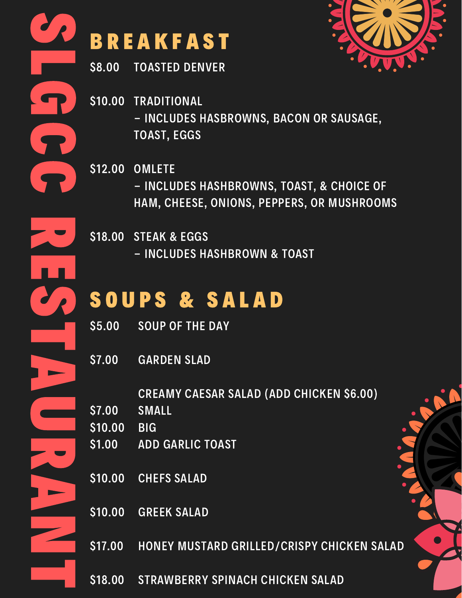

## **BREAKFAST**

\$8.00 TOASTED DENVER

\$10.00 TRADITIONAL - INCLUDES HASBROWNS, BACON OR SAUSAGE, TOAST, EGGS

\$12.00 OMLETE - INCLUDES HASHBROWNS, TOAST, & CHOICE OF HAM, CHEESE, ONIONS, PEPPERS, OR MUSHROOMS

\$18.00 STEAK & EGGS - INCLUDES HASHBROWN & TOAST

### SOUPS & SALAD

- \$5.00 SOUP OF THE DAY
- \$7.00 GARDEN SLAD

CREAMY CAESAR SALAD (ADD CHICKEN \$6.00)

- \$7.00 SMALL
- \$10.00 BIG
- \$1.00 ADD GARLIC TOAST
- \$10.00 CHEFS SALAD
- \$10.00 GREEK SALAD
- \$17.00 HONEY MUSTARD GRILLED/CRISPY CHICKEN SALAD
- \$18.00 STRAWBERRY SPINACH CHICKEN SALAD

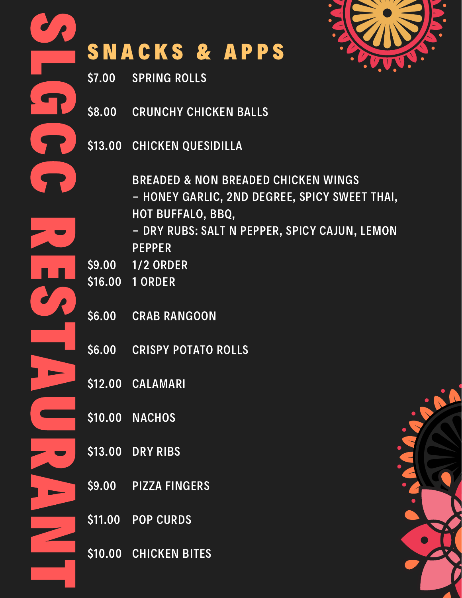

# SNACKS & APPS

\$7.00 SPRING ROLLS

S

L

G

C

C

R

E

S

T

A

**C** 

R

A

Z

T

- \$8.00 CRUNCHY CHICKEN BALLS
- \$13.00 CHICKEN QUESIDILLA

BREADED & NON BREADED CHICKEN WINGS - HONEY GARLIC, 2ND DEGREE, SPICY SWEET THAI, HOT BUFFALO, BBQ,

- DRY RUBS: SALT N PEPPER, SPICY CAJUN, LEMON PEPPER
- \$9.00 1/2 ORDER
- \$16.00 1 ORDER
- \$6.00 CRAB RANGOON
- \$6.00 CRISPY POTATO ROLLS
- \$12.00 CALAMARI
- \$10.00 **NACHOS**
- \$13.00 DRY RIBS
- \$9.00 PIZZA FINGERS
- \$11.00 POP CURDS
- \$10.00 CHICKEN BITES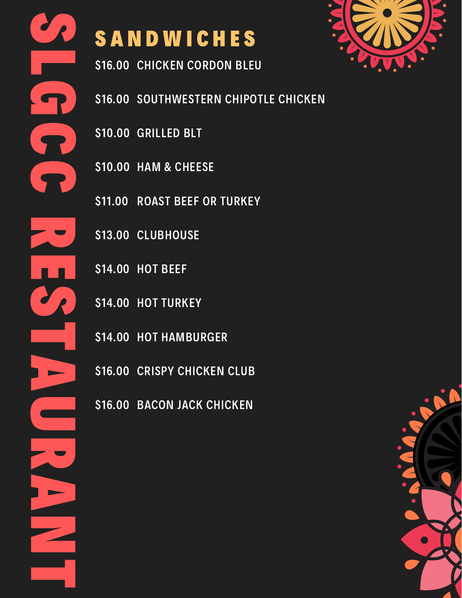## SANDWICHES

\$16.00 CHICKEN CORDON BLEU

- \$16.00 SOUTHWESTERN CHIPOTLE CHICKEN
- \$10.00 GRILLED BLT
- \$10.00 HAM & CHEESE
- \$11.00 ROAST BEEF OR TURKEY
- \$13.00 CLUBHOUSE
- \$14.00 HOT BEEF
- \$14.00 HOT TURKEY
- \$14.00 HOT HAMBURGER
- \$16.00 CRISPY CHICKEN CLUB
- \$16.00 BACON JACK CHICKEN



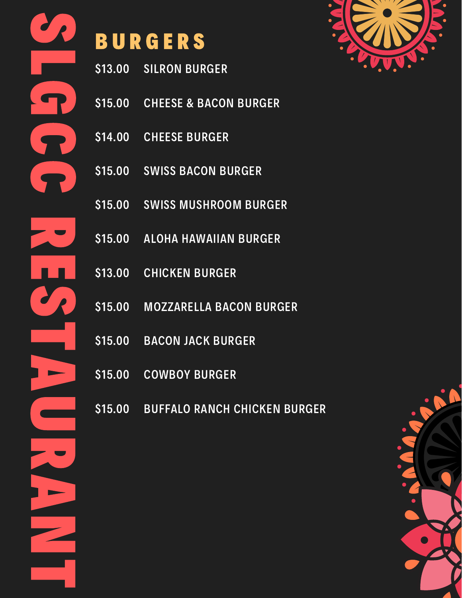

## B U R G E R S

- \$13.00 SILRON BURGER
- \$15.00 CHEESE & BACON BURGER
- \$14.00 CHEESE BURGER
- \$15.00 SWISS BACON BURGER
- \$15.00 SWISS MUSHROOM BURGER
- \$15.00 ALOHA HAWAIIAN BURGER
- \$13.00 CHICKEN BURGER
- \$15.00 MOZZARELLA BACON BURGER
- \$15.00 BACON JACK BURGER
- \$15.00 COWBOY BURGER
- \$15.00 BUFFALO RANCH CHICKEN BURGER



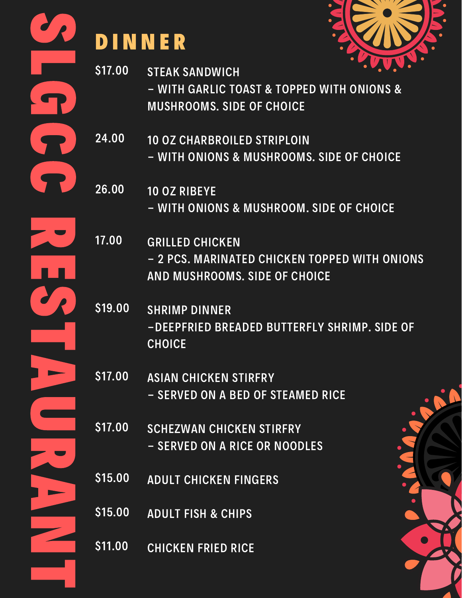

# D I N N E R



- \$17.00 STEAK SANDWICH - WITH GARLIC TOAST & TOPPED WITH ONIONS & MUSHROOMS. SIDE OF CHOICE
- 24.00 10 OZ CHARBROILED STRIPLOIN - WITH ONIONS & MUSHROOMS. SIDE OF CHOICE
- 26.00 10 OZ RIBEYE - WITH ONIONS & MUSHROOM. SIDE OF CHOICE
- 17.00 GRILLED CHICKEN - 2 PCS. MARINATED CHICKEN TOPPED WITH ONIONS AND MUSHROOMS. SIDE OF CHOICE
- \$19.00 SHRIMP DINNER -DEEPFRIED BREADED BUTTERFLY SHRIMP. SIDE OF **CHOICE**
- \$17.00 ASIAN CHICKEN STIRFRY - SERVED ON A BED OF STEAMED RICE
- \$17.00 SCHEZWAN CHICKEN STIRFRY - SERVED ON A RICE OR NOODLES
- \$15.00 ADULT CHICKEN FINGERS
- \$15.00 ADULT FISH & CHIPS
- \$11.00 CHICKEN FRIED RICE

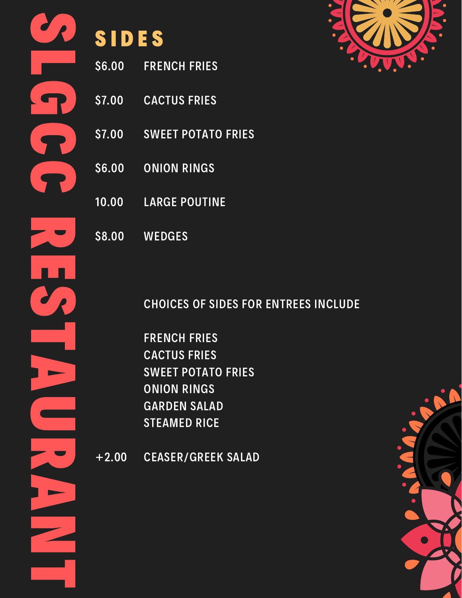| <b>Service Service</b> |
|------------------------|
| ١Ţ.                    |
| <b>Service Service</b> |
|                        |
|                        |

**SIDES** 

FRENCH FRIES

CACTUS FRIES

ONION RINGS

LARGE POUTINE

SWEET POTATO FRIES

\$6.00

\$7.00

\$7.00

\$6.00

10.00



\$8.00 **WEDGES** 

CHOICES OF SIDES FOR ENTREES INCLUDE

FRENCH FRIES CACTUS FRIES SWEET POTATO FRIES ONION RINGS GARDEN SALAD STEAMED RICE

+2.00 CEASER/GREEK SALAD

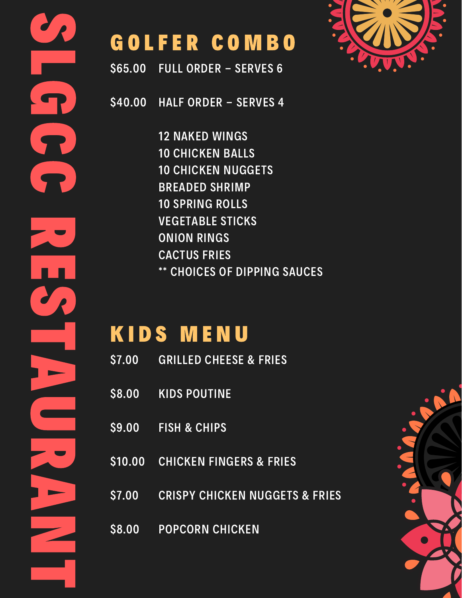

#### GOLFER COMBO

\$65.00 FULL ORDER - SERVES 6

S

L

G

C

C

R

E

S

T

A

**C** 

R

A

Z

T

\$40.00 HALF ORDER - SERVES 4

> 12 NAKED WINGS 10 CHICKEN BALLS 10 CHICKEN NUGGETS BREADED SHRIMP 10 SPRING ROLLS VEGETABLE STICKS ONION RINGS CACTUS FRIES \*\* CHOICES OF DIPPING SAUCES

### KIDS MENU

- \$7.00 GRILLED CHEESE & FRIES
- \$8.00 KIDS POUTINE
- \$9.00 FISH & CHIPS
- \$10.00 CHICKEN FINGERS & FRIES
- \$7.00 CRISPY CHICKEN NUGGETS & FRIES
- \$8.00 POPCORN CHICKEN